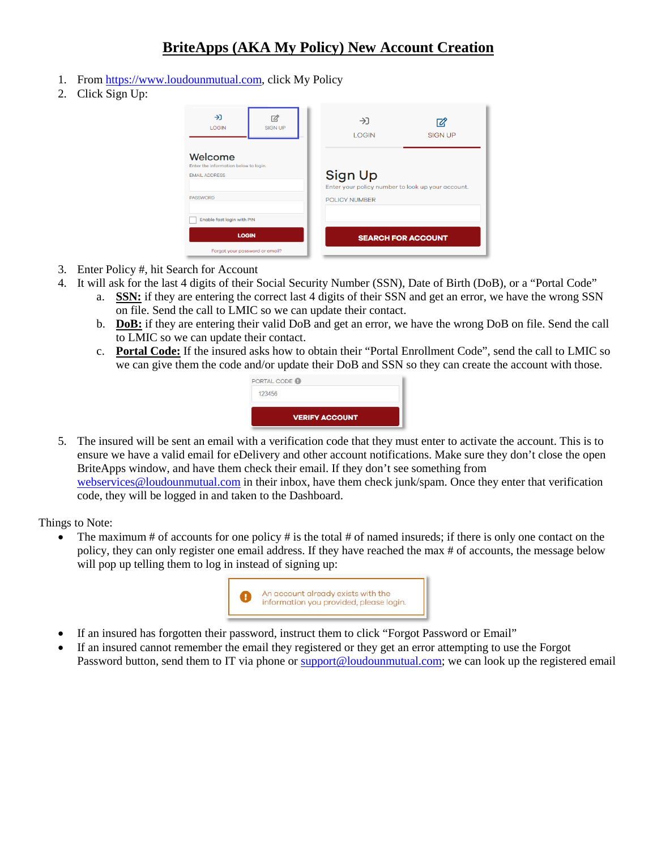## **BriteApps (AKA My Policy) New Account Creation**

- 1. From [https://www.loudounmutual.com,](https://www.loudounmutual.com/) click My Policy
- 2. Click Sign Up:

| →<br><b>LOGIN</b>                                                        | 72.<br><b>SIGN UP</b> | →<br><b>LOGIN</b>                                            | <b>SIGN UP</b>            |
|--------------------------------------------------------------------------|-----------------------|--------------------------------------------------------------|---------------------------|
| Welcome<br>Enter the information below to login.<br><b>EMAIL ADDRESS</b> |                       | Sign Up<br>Enter your policy number to look up your account. |                           |
| <b>PASSWORD</b>                                                          |                       | <b>POLICY NUMBER</b>                                         |                           |
| Enable fast login with PIN                                               |                       |                                                              |                           |
| <b>LOGIN</b>                                                             |                       |                                                              | <b>SEARCH FOR ACCOUNT</b> |
| Forgot your password or email?                                           |                       |                                                              |                           |

- 3. Enter Policy #, hit Search for Account
- 4. It will ask for the last 4 digits of their Social Security Number (SSN), Date of Birth (DoB), or a "Portal Code"
	- a. **SSN:** if they are entering the correct last 4 digits of their SSN and get an error, we have the wrong SSN on file. Send the call to LMIC so we can update their contact.
	- b. **DoB:** if they are entering their valid DoB and get an error, we have the wrong DoB on file. Send the call to LMIC so we can update their contact.
	- c. **Portal Code:** If the insured asks how to obtain their "Portal Enrollment Code", send the call to LMIC so we can give them the code and/or update their DoB and SSN so they can create the account with those.

| PORTAL CODE O         |  |
|-----------------------|--|
| 123456                |  |
| <b>VERIFY ACCOUNT</b> |  |

5. The insured will be sent an email with a verification code that they must enter to activate the account. This is to ensure we have a valid email for eDelivery and other account notifications. Make sure they don't close the open BriteApps window, and have them check their email. If they don't see something from [webservices@loudounmutual.com](mailto:webservices@loudounmutual.com) in their inbox, have them check junk/spam. Once they enter that verification code, they will be logged in and taken to the Dashboard.

Things to Note:

The maximum # of accounts for one policy # is the total # of named insureds; if there is only one contact on the policy, they can only register one email address. If they have reached the max # of accounts, the message below will pop up telling them to log in instead of signing up:



- If an insured has forgotten their password, instruct them to click "Forgot Password or Email"
- If an insured cannot remember the email they registered or they get an error attempting to use the Forgot Password button, send them to IT via phone or [support@loudounmutual.com;](mailto:support@loudounmutual.com) we can look up the registered email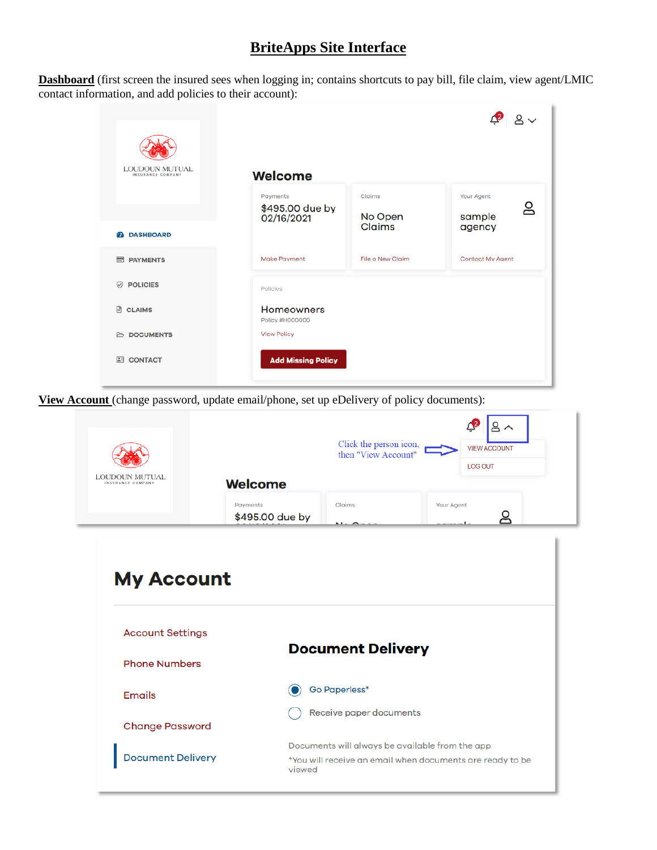## **BriteApps Site Interface**

**Dashboard** (first screen the insured sees when logging in; contains shortcuts to pay bill, file claim, view agent/LMIC contact information, and add policies to their account):

| <b>LOUDOUN MUTUAL</b><br>INSURANCE COMPANY | <b>Welcome</b>                       |                   |                   |
|--------------------------------------------|--------------------------------------|-------------------|-------------------|
|                                            | Payments                             | Claims            | Your Agent<br>ల్ల |
|                                            | \$495.00 due by<br>02/16/2021        | No Open<br>Claims | sample<br>agency  |
| <b><i>C</i></b> DASHBOARD                  |                                      |                   |                   |
| <b>ES PAYMENTS</b>                         | Make Payment                         | File a New Claim  | Contact My Agent  |
| <b>POLICIES</b><br>☞                       | Policies                             |                   |                   |
| <b>E</b> CLAIMS                            | <b>Homeowners</b><br>Policy #H000000 |                   |                   |
| <b>ED DOCUMENTS</b>                        | <b>View Policy</b>                   |                   |                   |
| <b>CONTACT</b><br>$\mathbf{L}$             | <b>Add Missing Policy</b>            |                   |                   |

**View Account** (change password, update email/phone, set up eDelivery of policy documents):

|                                                 |                             | Click the person icon,<br>then "View Account"   | <b>VIEW ACCOUNT</b><br><b>LOG OUT</b> |  |
|-------------------------------------------------|-----------------------------|-------------------------------------------------|---------------------------------------|--|
| LOUDOUN MUTUAL.<br>INSURANCE COMPANY            | <b>Welcome</b>              |                                                 |                                       |  |
|                                                 | Payments<br>\$495.00 due by | Claims                                          | Your Agent<br>௨                       |  |
| <b>My Account</b>                               |                             |                                                 |                                       |  |
| <b>Account Settings</b><br><b>Phone Numbers</b> |                             | <b>Document Delivery</b>                        |                                       |  |
| <b>Emails</b>                                   |                             | <b>Go Paperless*</b><br>Receive paper documents |                                       |  |
| <b>Change Password</b>                          |                             |                                                 |                                       |  |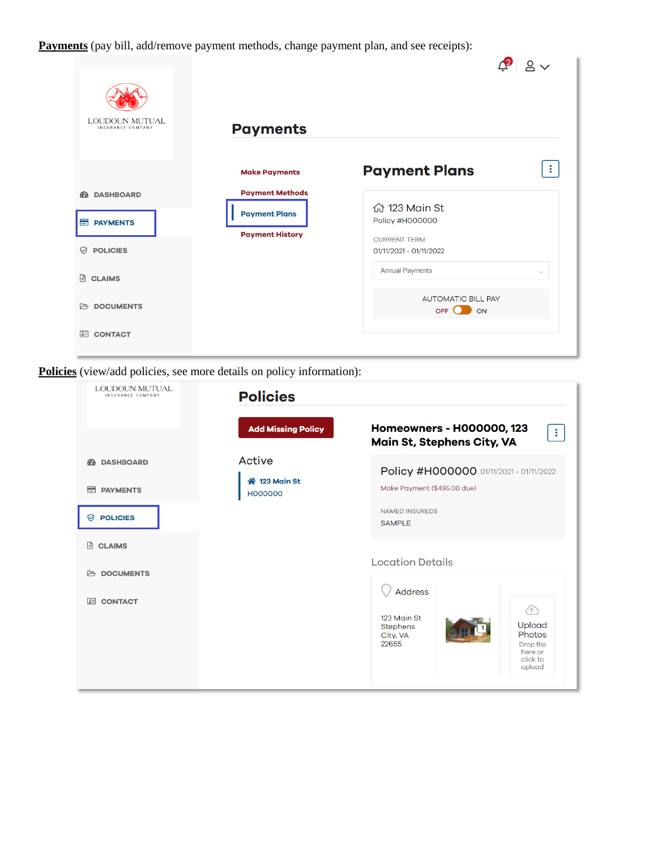**Payments** (pay bill, add/remove payment methods, change payment plan, and see receipts):

| <b>LOUDOUN MUTUAL</b><br>INSURANCE COMPANY           |                                                                          |                                                                           |              |
|------------------------------------------------------|--------------------------------------------------------------------------|---------------------------------------------------------------------------|--------------|
|                                                      | <b>Payments</b><br><b>Make Payments</b>                                  | <b>Payment Plans</b>                                                      | $\bullet$    |
| <b>DASHBOARD</b><br><b>B</b><br><b>Ed PAYMENTS</b>   | <b>Payment Methods</b><br><b>Payment Plans</b><br><b>Payment History</b> | 命 123 Main St<br>Policy #H000000<br><b>CURRENT TERM</b>                   |              |
| ♡<br><b>POLICIES</b><br>$\Box$<br><b>CLAIMS</b>      |                                                                          | 01/11/2021 - 01/11/2022<br><b>Annual Payments</b>                         | $\checkmark$ |
| <b>ED DOCUMENTS</b><br>$\boxed{2}$<br><b>CONTACT</b> |                                                                          | <b>AUTOMATIC BILL PAY</b><br>$OFF$ <sup><math>\bigcirc</math></sup><br>ON |              |

 $\blacksquare$ 

**Policies** (view/add policies, see more details on policy information):

| LOUDOUN MUTUAL<br>INSURANCE COMPANY                                                  | <b>Policies</b>                                                        |                                                                                                                                                                                   |
|--------------------------------------------------------------------------------------|------------------------------------------------------------------------|-----------------------------------------------------------------------------------------------------------------------------------------------------------------------------------|
| <b>DASHBOARD</b><br><b>FD</b><br>$\equiv$<br><b>PAYMENTS</b><br><b>POLICIES</b><br>♡ | <b>Add Missing Policy</b><br>Active<br>4 123 Main St<br><b>H000000</b> | Homeowners - H000000, 123<br>$\ddot{\mathbf{z}}$<br>Main St, Stephens City, VA<br>Policy #H000000 01/11/2021 - 01/11/2022<br>Make Payment (\$495.00 due)<br><b>NAMED INSUREDS</b> |
| 日<br><b>CLAIMS</b><br><b>DOCUMENTS</b><br>G                                          |                                                                        | <b>SAMPLE</b><br><b>Location Details</b>                                                                                                                                          |
| <b>CONTACT</b><br>$\boxed{2}$                                                        |                                                                        | <b>Address</b><br>647<br>123 Main St<br>Upload<br><b>Stephens</b><br>Photos<br>City, VA<br>22655<br>Drop file<br>here or<br>click to<br>upload                                    |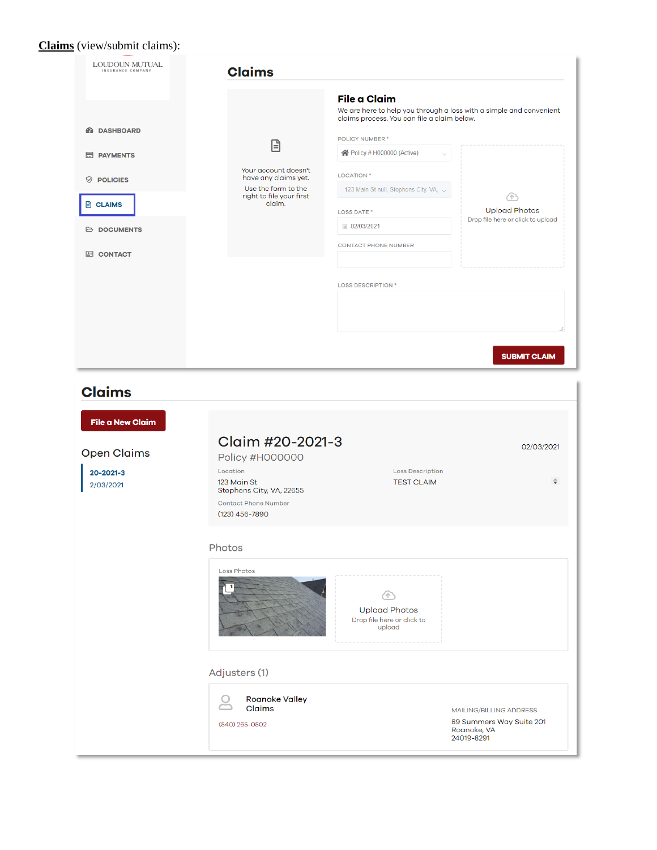## **Claims** (view/submit claims):

| LOUDOUN MUTUAL<br>INSURANCE COMPANY                           | <b>Claims</b>                                                             |                                                                                                                                           |                                   |
|---------------------------------------------------------------|---------------------------------------------------------------------------|-------------------------------------------------------------------------------------------------------------------------------------------|-----------------------------------|
| <b><i>A</i></b> DASHBOARD                                     |                                                                           | <b>File a Claim</b><br>We are here to help you through a loss with a simple and convenient<br>claims process. You can file a claim below. |                                   |
|                                                               | 日                                                                         | POLICY NUMBER *                                                                                                                           |                                   |
| <b>Ed PAYMENTS</b>                                            |                                                                           | ← Policy # H000000 (Active)                                                                                                               |                                   |
| $\heartsuit$ POLICIES                                         | Your account doesn't<br>have any claims yet.                              | <b>LOCATION</b> *                                                                                                                         |                                   |
|                                                               | Use the form to the<br>right to file your first                           | 123 Main St null, Stephens City, VA, v                                                                                                    | 49                                |
| <b>E</b> CLAIMS                                               | claim.                                                                    | <b>LOSS DATE *</b>                                                                                                                        | <b>Upload Photos</b>              |
| <b>ED DOCUMENTS</b>                                           |                                                                           | ■ 02/03/2021                                                                                                                              | Drop file here or click to upload |
|                                                               |                                                                           | <b>CONTACT PHONE NUMBER</b>                                                                                                               |                                   |
| <b>EI CONTACT</b>                                             |                                                                           |                                                                                                                                           |                                   |
|                                                               |                                                                           | <b>LOSS DESCRIPTION *</b>                                                                                                                 |                                   |
|                                                               |                                                                           |                                                                                                                                           | <b>SUBMIT CLAIM</b>               |
| <b>File a New Claim</b>                                       | Claim #20-2021-3<br>Policy #H000000<br>Location<br>123 Main St            | <b>Loss Description</b><br><b>TEST CLAIM</b>                                                                                              |                                   |
|                                                               | Stephens City, VA, 22655<br><b>Contact Phone Number</b><br>(123) 456-7890 |                                                                                                                                           |                                   |
|                                                               | Photos                                                                    |                                                                                                                                           |                                   |
| <b>Claims</b><br><b>Open Claims</b><br>20-2021-3<br>2/03/2021 | <b>Loss Photos</b><br>1                                                   | 47<br><b>Upload Photos</b><br>Drop file here or click to<br>upload                                                                        |                                   |
|                                                               | Adjusters (1)                                                             |                                                                                                                                           | 02/03/2021                        |